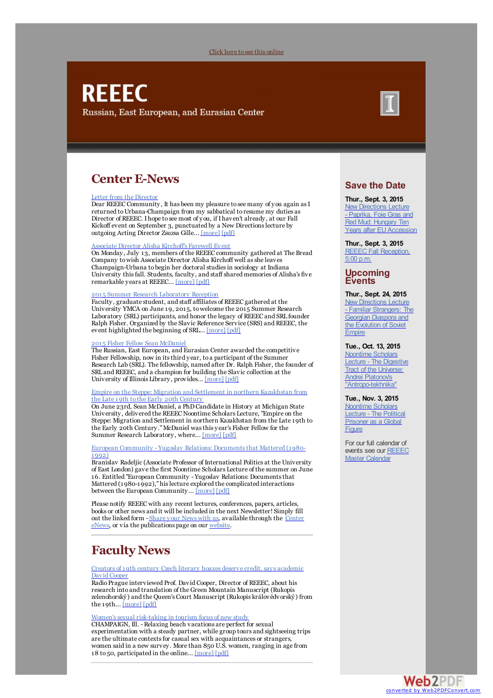### Click here to see this [online](#page-0-0)

# <span id="page-0-0"></span>**REEEC** Russian, East European, and Eurasian Center



## **Center E-News**

### Letter from the [Director](https://reeecillinois.wordpress.com/2015/08/14/letter-from-the-director-4/)

Dear REEEC Community, It has been my pleasure to see many of you again as I returned to Urbana-Champaign from my sabbatical to resume my duties as Director of REEEC. Ihope to see most of you, if Ihaven't already, at our Fall Kickoff event on September 3, punctuated by a New Directions lecture by outgoing Acting Director Zsuzsa Gille... [\[more\]](https://reeecillinois.wordpress.com/2015/08/14/letter-from-the-director-4/) [\[pdf\]](http://www.reeec.illinois.edu/publications/center/documents/LetterfromtheDirector_Aug15.pdf)

### Associate Director Alisha [Kirchoff's](https://reeecillinois.wordpress.com/2015/07/15/associate-director-alisha-kirchoffs-farewell-event/) Farewell Event

On Monday, July 13, members of the REEEC community gathered at The Bread Company towish Associate Director Alisha Kirchoff well asshe leaves Champaign-Urbana to begin her doctoral studiesin sociology at Indiana University this fall. Students, faculty, and staff shared memories of Alisha's five remarkable years at REEEC... [\[more\]](https://reeecillinois.wordpress.com/2015/07/15/associate-director-alisha-kirchoffs-farewell-event/) [\[pdf\]](http://www.reeec.illinois.edu/publications/center/documents/Alisha_FarewellReception_Aug15.pdf)

### 2015 Summer Research [Laboratory](https://reeecillinois.wordpress.com/2015/06/26/2015-summer-research-laboratory-reception/) Reception

Faculty, graduate student, and staff affiliates of REEEC gathered at the University YMCA on June 19, 2015, towelcome the 2015 Summer Research Laboratory (SRL) participants, and honor the legacy of REEEC and SRL founder Ralph Fisher. Organized by the Slavic Reference Service (SRS) and REEEC, the event highlighted the beginning of SRL... [\[more\]](https://reeecillinois.wordpress.com/2015/06/26/2015-summer-research-laboratory-reception/) [\[pdf\]](http://www.reeec.illinois.edu/publications/center/documents/SRLReception_Aug15.pdf)

#### 015 Fisher Fellow Sean [McDaniel](https://reeecillinois.wordpress.com/2015/07/13/2015-fisher-fellow-sean-mcdaniel/)

The Russian, East European, and Eurasian Center awarded the competitive Fisher Fellowship, now in itsthird year, to a participant of the Summer Research Lab (SRL). The fellowship, named after Dr. Ralph Fisher, the founder of SRL and REEEC, and a champion for building the Slavic collection at the University of Illinois Library, provides... [\[more\]](https://reeecillinois.wordpress.com/2015/07/13/2015-fisher-fellow-sean-mcdaniel/) [\[pdf\]](http://www.reeec.illinois.edu/publications/center/documents/McDaniel_FisherFellow_Aug15.pdf)

### Empire on the Steppe: Migration and Settlement in northern [Kazakhstan](https://reeecillinois.wordpress.com/2015/07/02/empire-on-the-steppe-migration-and-settlement-in-northern-kazakhstan-from-the-late-19th-to-the-early-20th-century/) from the Late 19th to the Early 20th Century

On June 23rd, Sean McDaniel, a PhDCandidate in History at Michigan State University, delivered the REEEC Noontime Scholars Lecture, "Empire on the Steppe: Migration and Settlement in northern Kazakhstan from the Late 19th to the Early 20th Century."McDaniel wasthis year's Fisher Fellow for the Summer Research Laboratory, where... [\[more\]](https://reeecillinois.wordpress.com/2015/07/02/empire-on-the-steppe-migration-and-settlement-in-northern-kazakhstan-from-the-late-19th-to-the-early-20th-century/) [\[pdf\]](http://www.reeec.illinois.edu/publications/center/documents/McDanielNTS_Aug15.pdf)

### European Community - Yugoslav Relations: [Documentsthat](https://reeecillinois.wordpress.com/2015/06/25/european-community-yugoslav-relations-documents-that-mattered-1980-1992/) Mattered (1980- 1992)

Branislav Radeljic (Associate Professor of International Politics at the University of East London) gave the first Noontime Scholars Lecture of the summer on June 16. Entitled "European Community - Yugoslav Relations: Documentsthat Mattered (1980-1992),"hislecture explored the complicated interactions between the European Community... [\[more\]](https://reeecillinois.wordpress.com/2015/06/25/european-community-yugoslav-relations-documents-that-mattered-1980-1992/) [\[pdf\]](http://www.reeec.illinois.edu/publications/center/documents/RadeljicNTS_Aug15.pdf)

Please notify REEEC with any recent lectures, conferences, papers, articles, books or other news and it will be included in the next Newsletter! Simply fill out the linked form - Share your News with us, available through the Center eNews, or via the [publications](http://reeecillinois.wordpress.com/) page on our [website](http://www.reeec.illinois.edu/publications/).

## **Faculty News**

Creators of 19th century Czech literary hoaxes deserve credit, says [academic](https://reeecillinois.wordpress.com/2015/06/09/creators-of-19th-century-czech-literary-hoaxes-deserve-credit-says-academic-david-cooper/) David Cooper

RadioPrague interviewed Prof. David Cooper, Director of REEEC, about his research into and translation of the Green Mountain Manuscript (Rukopis zelenohorský) and the Queen's Court Manuscript (Rukopis královédvorský) from the 19th... [\[more\]](https://reeecillinois.wordpress.com/2015/06/09/creators-of-19th-century-czech-literary-hoaxes-deserve-credit-says-academic-david-cooper/) [\[pdf\]](http://www.reeec.illinois.edu/publications/center/documents/Cooper_Aug15.pdf)

### Women's sexual risk-taking in tourism focus of new study

CHAMPAIGN, Ill. -Relaxing beach vacations are perfect for sexual experimentation with a steady partner, while group tours and sightseeing trips are the ultimate contexts for casual sex with acquaintances or strangers, women said in a new survey. More than 850 U.S. women, ranging in age from 18 to 50, participated in the online... [\[more\]](https://reeecillinois.wordpress.com/2015/07/22/womens-sexual-risk-taking-in-tourism-focus-of-new-study/) [\[pdf\]](http://www.reeec.illinois.edu/publications/center/documents/Berdychevsky_Aug15.pdf)

### **Save the Date**

**Thur., Sept. 3, 2015** New [Directions](http://illinois.edu/calendar/detail/2750?key=000000000000000032854481) Lecture - Paprika, Foie Gras and Red Mud: Hungary Ten Years after EU Accession

**Thur., Sept. 3, 2015** REEEC Fall [Reception,](http://illinois.edu/calendar/detail/2750?key=000000000000000032854483) 5:00 p.m.

# **Upcoming Events**

### **Thur., Sept. 24, 2015**

**New Directions Lecture** - Familiar [Strangers:](http://illinois.edu/calendar/detail/2750?key=000000000000000032706929) The Georgian Diaspora and the Evolution of Soviet **Empire** 

### **Tue., Oct. 13, 2015**

Noontime Scholars Lecture - The Digestive Tract of the Universe: **Andrei Platonov's** ["Antropo-tekhnika"](http://illinois.edu/calendar/detail/2750?key=000000000000000032962658)

#### **Tue., Nov. 3, 2015**

[Noontime](http://illinois.edu/calendar/detail/2750?key=000000000000000032929667) Scholars Lecture - The Political Prisoner as a Global **Figure** 

For our full calendar of events see our REEEC Master [Calendar](http://illinois.edu/calendar/list/2750)